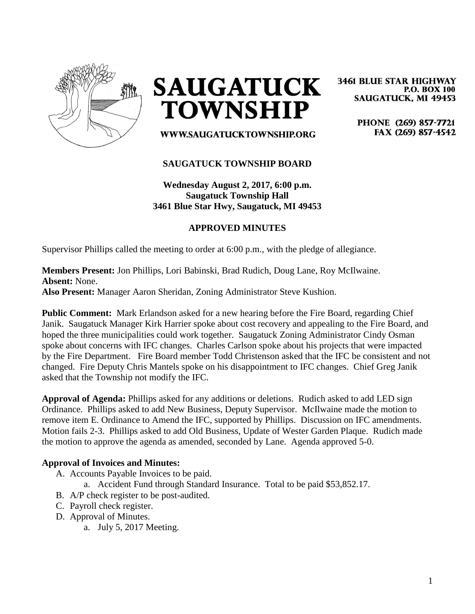

**SAUGATUCK TOWNSHIP** 

**3461 BLUE STAR HIGHWAY P.O. BOX 100 SAUGATUCK, MI 49453** 

> PHONE (269) 857-7721 FAX (269) 857-4542

WWW.SAUGATUCKTOWNSHIP.ORG

#### **SAUGATUCK TOWNSHIP BOARD**

**Wednesday August 2, 2017, 6:00 p.m. Saugatuck Township Hall 3461 Blue Star Hwy, Saugatuck, MI 49453**

#### **APPROVED MINUTES**

Supervisor Phillips called the meeting to order at 6:00 p.m., with the pledge of allegiance.

**Members Present:** Jon Phillips, Lori Babinski, Brad Rudich, Doug Lane, Roy McIlwaine. **Absent:** None. **Also Present:** Manager Aaron Sheridan, Zoning Administrator Steve Kushion.

**Public Comment:** Mark Erlandson asked for a new hearing before the Fire Board, regarding Chief Janik. Saugatuck Manager Kirk Harrier spoke about cost recovery and appealing to the Fire Board, and hoped the three municipalities could work together. Saugatuck Zoning Administrator Cindy Osman spoke about concerns with IFC changes. Charles Carlson spoke about his projects that were impacted by the Fire Department. Fire Board member Todd Christenson asked that the IFC be consistent and not changed. Fire Deputy Chris Mantels spoke on his disappointment to IFC changes. Chief Greg Janik asked that the Township not modify the IFC.

**Approval of Agenda:** Phillips asked for any additions or deletions. Rudich asked to add LED sign Ordinance. Phillips asked to add New Business, Deputy Supervisor. McIlwaine made the motion to remove item E. Ordinance to Amend the IFC, supported by Phillips. Discussion on IFC amendments. Motion fails 2-3. Phillips asked to add Old Business, Update of Wester Garden Plaque. Rudich made the motion to approve the agenda as amended, seconded by Lane. Agenda approved 5-0.

#### **Approval of Invoices and Minutes:**

- A. Accounts Payable Invoices to be paid.
	- a. Accident Fund through Standard Insurance. Total to be paid \$53,852.17.
- B. A/P check register to be post-audited.
- C. Payroll check register.
- D. Approval of Minutes.
	- a. July 5, 2017 Meeting.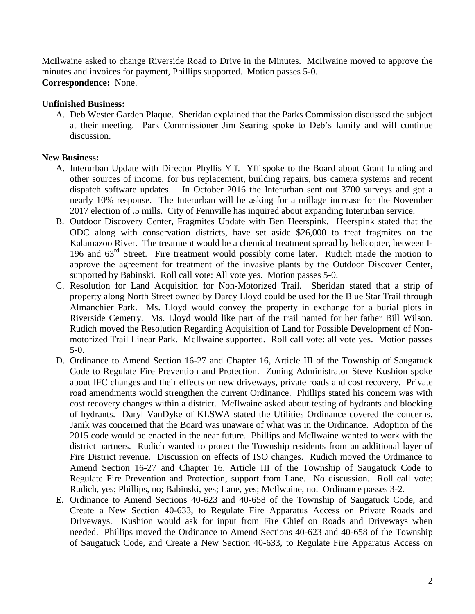McIlwaine asked to change Riverside Road to Drive in the Minutes. McIlwaine moved to approve the minutes and invoices for payment, Phillips supported. Motion passes 5-0. **Correspondence:** None.

## **Unfinished Business:**

A. Deb Wester Garden Plaque. Sheridan explained that the Parks Commission discussed the subject at their meeting. Park Commissioner Jim Searing spoke to Deb's family and will continue discussion.

## **New Business:**

- A. Interurban Update with Director Phyllis Yff. Yff spoke to the Board about Grant funding and other sources of income, for bus replacement, building repairs, bus camera systems and recent dispatch software updates. In October 2016 the Interurban sent out 3700 surveys and got a nearly 10% response. The Interurban will be asking for a millage increase for the November 2017 election of .5 mills. City of Fennville has inquired about expanding Interurban service.
- B. Outdoor Discovery Center, Fragmites Update with Ben Heerspink. Heerspink stated that the ODC along with conservation districts, have set aside \$26,000 to treat fragmites on the Kalamazoo River. The treatment would be a chemical treatment spread by helicopter, between I-196 and 63rd Street. Fire treatment would possibly come later. Rudich made the motion to approve the agreement for treatment of the invasive plants by the Outdoor Discover Center, supported by Babinski. Roll call vote: All vote yes. Motion passes 5-0.
- C. Resolution for Land Acquisition for Non-Motorized Trail. Sheridan stated that a strip of property along North Street owned by Darcy Lloyd could be used for the Blue Star Trail through Almanchier Park. Ms. Lloyd would convey the property in exchange for a burial plots in Riverside Cemetry. Ms. Lloyd would like part of the trail named for her father Bill Wilson. Rudich moved the Resolution Regarding Acquisition of Land for Possible Development of Nonmotorized Trail Linear Park. McIlwaine supported. Roll call vote: all vote yes. Motion passes 5-0.
- D. Ordinance to Amend Section 16-27 and Chapter 16, Article III of the Township of Saugatuck Code to Regulate Fire Prevention and Protection. Zoning Administrator Steve Kushion spoke about IFC changes and their effects on new driveways, private roads and cost recovery. Private road amendments would strengthen the current Ordinance. Phillips stated his concern was with cost recovery changes within a district. McIlwaine asked about testing of hydrants and blocking of hydrants. Daryl VanDyke of KLSWA stated the Utilities Ordinance covered the concerns. Janik was concerned that the Board was unaware of what was in the Ordinance. Adoption of the 2015 code would be enacted in the near future. Phillips and McIlwaine wanted to work with the district partners. Rudich wanted to protect the Township residents from an additional layer of Fire District revenue. Discussion on effects of ISO changes. Rudich moved the Ordinance to Amend Section 16-27 and Chapter 16, Article III of the Township of Saugatuck Code to Regulate Fire Prevention and Protection, support from Lane. No discussion. Roll call vote: Rudich, yes; Phillips, no; Babinski, yes; Lane, yes; McIlwaine, no. Ordinance passes 3-2.
- E. Ordinance to Amend Sections 40-623 and 40-658 of the Township of Saugatuck Code, and Create a New Section 40-633, to Regulate Fire Apparatus Access on Private Roads and Driveways. Kushion would ask for input from Fire Chief on Roads and Driveways when needed. Phillips moved the Ordinance to Amend Sections 40-623 and 40-658 of the Township of Saugatuck Code, and Create a New Section 40-633, to Regulate Fire Apparatus Access on